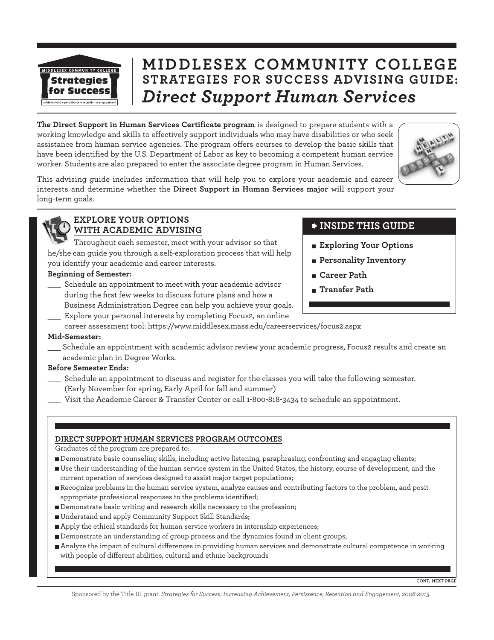

# **MIDDLESEX COMMUNITY COLLEGE STRATEGIES FOR SUCCESS ADVISING GUIDE:** *Direct Support Human Services*

**The Direct Support in Human Services Certificate program** is designed to prepare students with a working knowledge and skills to effectively support individuals who may have disabilities or who seek assistance from human service agencies. The program offers courses to develop the basic skills that have been identified by the U.S. Department of Labor as key to becoming a competent human service worker. Students are also prepared to enter the associate degree program in Human Services.



This advising guide includes information that will help you to explore your academic and career interests and determine whether the **Direct Support in Human Services major** will support your long-term goals.

#### **EXPLORE YOUR OPTIONS WITH ACADEMIC ADVISING**

Throughout each semester, meet with your advisor so that he/she can guide you through a self-exploration process that will help you identify your academic and career interests.

#### **Beginning of Semester:**

- Schedule an appointment to meet with your academic advisor during the first few weeks to discuss future plans and how a Business Administration Degree can help you achieve your goals.
- Explore your personal interests by completing Focus2, an online

#### **INSIDE THIS GUIDE**

- **Exploring Your Options**
- **Personality Inventory**
- **Career Path**
- **Transfer Path**
- career assessment tool: https://www.middlesex.mass.edu/careerservices/focus2.aspx

#### **Mid-Semester:**

Schedule an appointment with academic advisor review your academic progress, Focus2 results and create an academic plan in Degree Works.

#### **Before Semester Ends:**

- Schedule an appointment to discuss and register for the classes you will take the following semester. (Early November for spring, Early April for fall and summer)
- Visit the Academic Career & Transfer Center or call 1-800-818-3434 to schedule an appointment.

#### **DIRECT SUPPORT HUMAN SERVICES PROGRAM OUTCOMES**

Graduates of the program are prepared to:

- Demonstrate basic counseling skills, including active listening, paraphrasing, confronting and engaging clients;
- Use their understanding of the human service system in the United States, the history, course of development, and the current operation of services designed to assist major target populations;
- Recognize problems in the human service system, analyze causes and contributing factors to the problem, and posit appropriate professional responses to the problems identified;
- Demonstrate basic writing and research skills necessary to the profession;
- Understand and apply Community Support Skill Standards;
- Apply the ethical standards for human service workers in internship experiences;
- Demonstrate an understanding of group process and the dynamics found in client groups;
- Analyze the impact of cultural differences in providing human services and demonstrate cultural competence in working with people of different abilities, cultural and ethnic backgrounds

Sponsored by the Title III grant: *Strategies for Success: Increasing Achievement, Persistence, Retention and Engagement, 2008-2013*.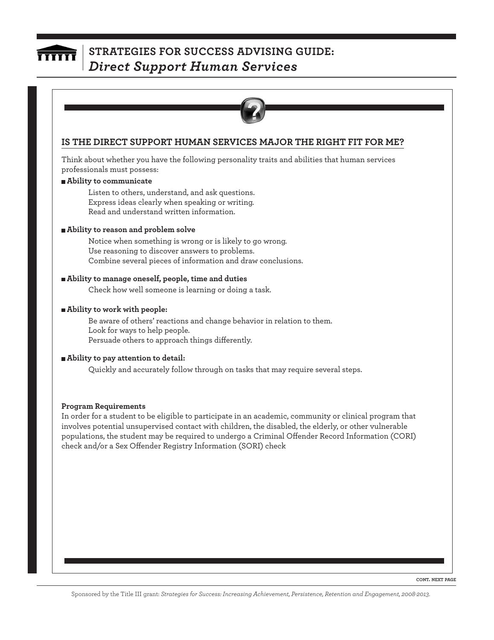

### **STRATEGIES FOR SUCCESS ADVISING GUIDE:**  *Direct Support Human Services*



#### **IS THE DIRECT SUPPORT HUMAN SERVICES MAJOR THE RIGHT FIT FOR ME?**

Think about whether you have the following personality traits and abilities that human services professionals must possess:

#### **Ability to communicate**

Listen to others, understand, and ask questions. Express ideas clearly when speaking or writing. Read and understand written information.

#### **Ability to reason and problem solve**

Notice when something is wrong or is likely to go wrong. Use reasoning to discover answers to problems. Combine several pieces of information and draw conclusions.

#### **Ability to manage oneself, people, time and duties**

Check how well someone is learning or doing a task.

#### **Ability to work with people:**

Be aware of others' reactions and change behavior in relation to them. Look for ways to help people. Persuade others to approach things differently.

#### **Ability to pay attention to detail:**

Quickly and accurately follow through on tasks that may require several steps.

#### **Program Requirements**

In order for a student to be eligible to participate in an academic, community or clinical program that involves potential unsupervised contact with children, the disabled, the elderly, or other vulnerable populations, the student may be required to undergo a Criminal Offender Record Information (CORI) check and/or a Sex Offender Registry Information (SORI) check

**CONT. NEXT PAGE**